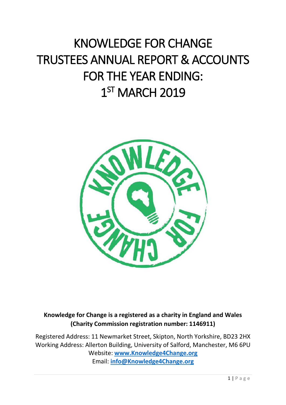# KNOWLEDGE FOR CHANGE TRUSTEES ANNUAL REPORT & ACCOUNTS FOR THE YEAR ENDING: 1<sup>ST</sup> MARCH 2019



**Knowledge for Change is a registered as a charity in England and Wales (Charity Commission registration number: 1146911)**

Registered Address: 11 Newmarket Street, Skipton, North Yorkshire, BD23 2HX Working Address: Allerton Building, University of Salford, Manchester, M6 6PU Website: **[www.Knowledge4Change.org](http://www.knowledge4change.org/)** Email: **[info@Knowledge4Change.org](mailto:info@Knowledge4Change.org)**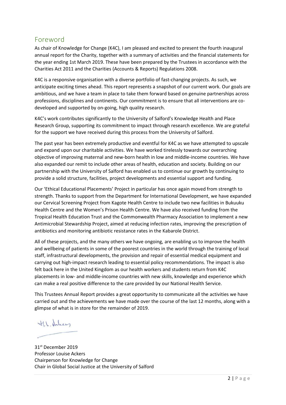### <span id="page-1-0"></span>Foreword

As chair of Knowledge for Change (K4C), I am pleased and excited to present the fourth inaugural annual report for the Charity, together with a summary of activities and the financial statements for the year ending 1st March 2019. These have been prepared by the Trustees in accordance with the Charities Act 2011 and the Charities (Accounts & Reports) Regulations 2008.

K4C is a responsive organisation with a diverse portfolio of fast-changing projects. As such, we anticipate exciting times ahead. This report represents a snapshot of our current work. Our goals are ambitious, and we have a team in place to take them forward based on genuine partnerships across professions, disciplines and continents. Our commitment is to ensure that all interventions are codeveloped and supported by on-going, high quality research.

K4C's work contributes significantly to the University of Salford's Knowledge Health and Place Research Group, supporting its commitment to impact through research excellence. We are grateful for the support we have received during this process from the University of Salford.

The past year has been extremely productive and eventful for K4C as we have attempted to upscale and expand upon our charitable activities. We have worked tirelessly towards our overarching objective of improving maternal and new-born health in low and middle-income countries. We have also expanded our remit to include other areas of health, education and society. Building on our partnership with the University of Salford has enabled us to continue our growth by continuing to provide a solid structure, facilities, project developments and essential support and funding.

Our 'Ethical Educational Placements' Project in particular has once again moved from strength to strength. Thanks to support from the Department for International Development, we have expanded our Cervical Screening Project from Kagote Health Centre to include two new facilities in Bukuuku Health Centre and the Women's Prison Health Centre. We have also received funding from the Tropical Health Education Trust and the Commonwealth Pharmacy Association to implement a new Antimicrobial Stewardship Project, aimed at reducing infection rates, improving the prescription of antibiotics and monitoring antibiotic resistance rates in the Kabarole District.

All of these projects, and the many others we have ongoing, are enabling us to improve the health and wellbeing of patients in some of the poorest countries in the world through the training of local staff, infrastructural developments, the provision and repair of essential medical equipment and carrying out high-impact research leading to essential policy recommendations. The impact is also felt back here in the United Kingdom as our health workers and students return from K4C placements in low- and middle-income countries with new skills, knowledge and experience which can make a real positive difference to the care provided by our National Health Service.

This Trustees Annual Report provides a great opportunity to communicate all the activities we have carried out and the achievements we have made over the course of the last 12 months, along with a glimpse of what is in store for the remainder of 2019.

H.L. Heber

31st December 2019 Professor Louise Ackers Chairperson for Knowledge for Change Chair in Global Social Justice at the University of Salford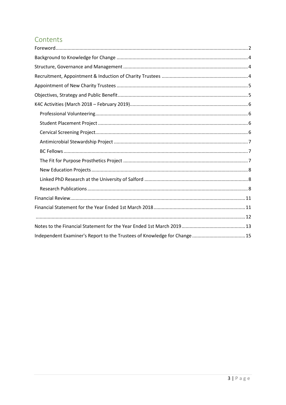# Contents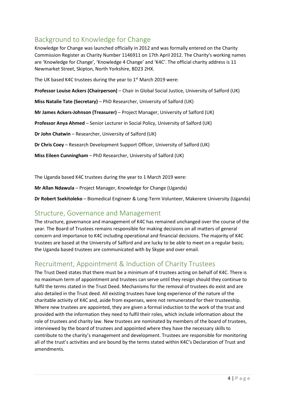# <span id="page-3-0"></span>Background to Knowledge for Change

Knowledge for Change was launched officially in 2012 and was formally entered on the Charity Commission Register as Charity Number 1146911 on 17th April 2012. The Charity's working names are 'Knowledge for Change', 'Knowledge 4 Change' and 'K4C'. The official charity address is 11 Newmarket Street, Skipton, North Yorkshire, BD23 2HX.

The UK based K4C trustees during the year to  $1<sup>st</sup>$  March 2019 were:

**Professor Louise Ackers (Chairperson)** – Chair in Global Social Justice, University of Salford (UK)

**Miss Natalie Tate (Secretary)** – PhD Researcher, University of Salford (UK)

**Mr James Ackers-Johnson (Treasurer)** – Project Manager, University of Salford (UK)

**Professor Anya Ahmed** – Senior Lecturer in Social Policy, University of Salford (UK)

**Dr John Chatwin** – Researcher, University of Salford (UK)

**Dr Chris Coey** – Research Development Support Officer, University of Salford (UK)

**Miss Eileen Cunningham** – PhD Researcher, University of Salford (UK)

The Uganda based K4C trustees during the year to 1 March 2019 were:

**Mr Allan Ndawula** – Project Manager, Knowledge for Change (Uganda)

**Dr Robert Ssekitoleko** – Biomedical Engineer & Long-Term Volunteer, Makerere University (Uganda)

### <span id="page-3-1"></span>Structure, Governance and Management

The structure, governance and management of K4C has remained unchanged over the course of the year. The Board of Trustees remains responsible for making decisions on all matters of general concern and importance to K4C including operational and financial decisions. The majority of K4C trustees are based at the University of Salford and are lucky to be able to meet on a regular basis; the Uganda based trustees are communicated with by Skype and over email.

## <span id="page-3-2"></span>Recruitment, Appointment & Induction of Charity Trustees

The Trust Deed states that there must be a minimum of 4 trustees acting on behalf of K4C. There is no maximum term of appointment and trustees can serve until they resign should they continue to fulfil the terms stated in the Trust Deed. Mechanisms for the removal of trustees do exist and are also detailed in the Trust deed. All existing trustees have long experience of the nature of the charitable activity of K4C and, aside from expenses, were not remunerated for their trusteeship. Where new trustees are appointed, they are given a formal induction to the work of the trust and provided with the information they need to fulfil their roles, which include information about the role of trustees and charity law. New trustees are nominated by members of the board of trustees, interviewed by the board of trustees and appointed where they have the necessary skills to contribute to the charity's management and development. Trustees are responsible for monitoring all of the trust's activities and are bound by the terms stated within K4C's Declaration of Trust and amendments.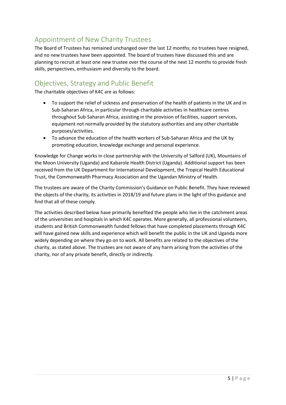# <span id="page-4-0"></span>Appointment of New Charity Trustees

The Board of Trustees has remained unchanged over the last 12 months; no trustees have resigned, and no new trustees have been appointed. The board of trustees have discussed this and are planning to recruit at least one new trustee over the course of the next 12 months to provide fresh skills, perspectives, enthusiasm and diversity to the board.

### <span id="page-4-1"></span>Objectives, Strategy and Public Benefit

The charitable objectives of K4C are as follows:

- To support the relief of sickness and preservation of the health of patients in the UK and in Sub-Saharan Africa, in particular through charitable activities in healthcare centres throughout Sub-Saharan Africa, assisting in the provision of facilities, support services, equipment not normally provided by the statutory authorities and any other charitable purposes/activities.
- To advance the education of the health workers of Sub-Saharan Africa and the UK by promoting education, knowledge exchange and personal experience.

Knowledge for Change works in close partnership with the University of Salford (UK), Mountains of the Moon University (Uganda) and Kabarole Health District (Uganda). Additional support has been received from the UK Department for International Development, the Tropical Health Educational Trust, the Commonwealth Pharmacy Association and the Ugandan Ministry of Health.

The trustees are aware of the Charity Commission's Guidance on Public Benefit. They have reviewed the objects of the charity, its activities in 2018/19 and future plans in the light of this guidance and find that all of these comply.

The activities described below have primarily benefited the people who live in the catchment areas of the universities and hospitals in which K4C operates. More generally, all professional volunteers, students and British Commonwealth funded fellows that have completed placements through K4C will have gained new skills and experience which will benefit the public in the UK and Uganda more widely depending on where they go on to work. All benefits are related to the objectives of the charity, as stated above. The trustees are not aware of any harm arising from the activities of the charity, nor of any private benefit, directly or indirectly.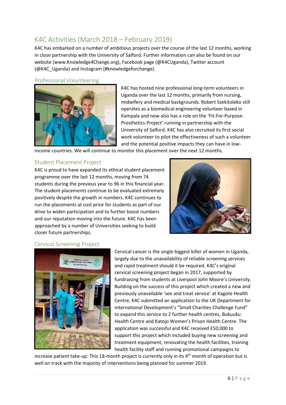# <span id="page-5-0"></span>K4C Activities (March 2018 – February 2019)

K4C has embarked on a number of ambitious projects over the course of the last 12 months, working in close partnership with the University of Salford. Further information can also be found on our website (www.Knowledge4Change.org), Facebook page (@K4CUganda), Twitter account (@K4C\_Uganda) and Instagram (#knowledgeforchange).

#### <span id="page-5-1"></span>Professional Volunteering



K4C has hosted nine professional long-term volunteers in Uganda over the last 12 months, primarily from nursing, midwifery and medical backgrounds. Robert Ssekitoleko still operates as a biomedical engineering volunteer based in Kampala and now also has a role on the 'Fit-For-Purpose-Prosthetics-Project' running in partnership with the University of Salford. K4C has also recruited its first social work volunteer to pilot the effectiveness of such a volunteer and the potential positive impacts they can have in low-

income countries. We will continue to monitor this placement over the next 12 months.

#### <span id="page-5-2"></span>Student Placement Project

K4C is proud to have expanded its ethical student placement programme over the last 12 months, moving from 74 students during the previous year to 96 in this financial year. The student placements continue to be evaluated extremely positively despite the growth in numbers. K4C continues to run the placements at cost price for students as part of our drive to widen participation and to further boost numbers and our reputation moving into the future. K4C has been approached by a number of Universities seeking to build closer future partnerships.



#### <span id="page-5-3"></span>Cervical Screening Project



Cervical cancer is the single biggest killer of women in Uganda, largely due to the unavailability of reliable screening services and rapid treatment should it be required. K4C's original cervical screening project began in 2017, supported by fundraising from students at Liverpool John Moore's University. Building on the success of this project which created a new and previously unavailable 'see and treat service' at Kagote Health Centre, K4C submitted an application to the UK Department for International Development's "Small Charities Challenge Fund" to expand this service to 2 further health centres, Bukuuku Health Centre and Katojo Women's Prison Health Centre. The application was successful and K4C received £50,000 to support this project which included buying new screening and treatment equipment, renovating the health facilities, training health facility staff and running promotional campaigns to

increase patient take-up. This 18-month project is currently only in its  $4<sup>th</sup>$  month of operation but is well on track with the majority of interventions being planned for summer 2019.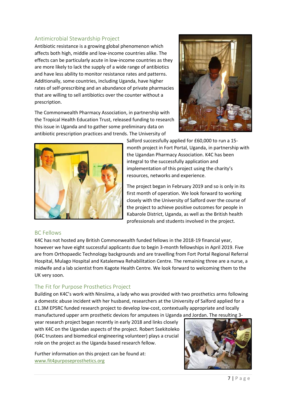### <span id="page-6-0"></span>Antimicrobial Stewardship Project

Antibiotic resistance is a growing global phenomenon which affects both high, middle and low-income countries alike. The effects can be particularly acute in low-income countries as they are more likely to lack the supply of a wide range of antibiotics and have less ability to monitor resistance rates and patterns. Additionally, some countries, including Uganda, have higher rates of self-prescribing and an abundance of private pharmacies that are willing to sell antibiotics over the counter without a prescription.

The Commonwealth Pharmacy Association, in partnership with the Tropical Health Education Trust, released funding to research this issue in Uganda and to gather some preliminary data on antibiotic prescription practices and trends. The University of





Salford successfully applied for £60,000 to run a 15 month project in Fort Portal, Uganda, in partnership with the Ugandan Pharmacy Association. K4C has been integral to the successfully application and implementation of this project using the charity's resources, networks and experience.

The project began in February 2019 and so is only in its first month of operation. We look forward to working closely with the University of Salford over the course of the project to achieve positive outcomes for people in Kabarole District, Uganda, as well as the British health professionals and students involved in the project.

#### <span id="page-6-1"></span>BC Fellows

K4C has not hosted any British Commonwealth funded fellows in the 2018-19 financial year, however we have eight successful applicants due to begin 3-month fellowships in April 2019. Five are from Orthopaedic Technology backgrounds and are travelling from Fort Portal Regional Referral Hospital, Mulago Hospital and Katalemwa Rehabilitation Centre. The remaining three are a nurse, a midwife and a lab scientist from Kagote Health Centre. We look forward to welcoming them to the UK very soon.

#### <span id="page-6-2"></span>The Fit for Purpose Prosthetics Project

Building on K4C's work with Ninsiima, a lady who was provided with two prosthetics arms following a domestic abuse incident with her husband, researchers at the University of Salford applied for a £1.3M EPSRC funded research project to develop low-cost, contextually appropriate and locally manufactured upper arm prosthetic devices for amputees in Uganda and Jordan. The resulting 3-

year research project began recently in early 2018 and links closely with K4C on the Ugandan aspects of the project. Robert Ssekitoleko (K4C trustees and biomedical engineering volunteer) plays a crucial role on the project as the Uganda based research fellow.

Further information on this project can be found at: [www.fit4purposeprosthetics.org](http://www.fit4purposeprosthetics.org/)

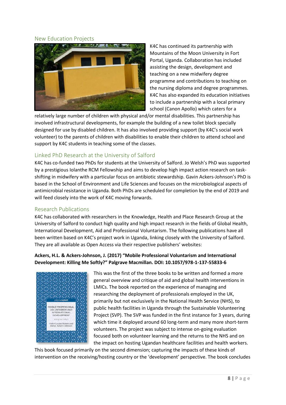#### <span id="page-7-0"></span>New Education Projects



K4C has continued its partnership with Mountains of the Moon University in Fort Portal, Uganda. Collaboration has included assisting the design, development and teaching on a new midwifery degree programme and contributions to teaching on the nursing diploma and degree programmes. K4C has also expanded its education initiatives to include a partnership with a local primary school (Canon Apollo) which caters for a

relatively large number of children with physical and/or mental disabilities. This partnership has involved infrastructural developments, for example the building of a new toilet block specially designed for use by disabled children. It has also involved providing support (by K4C's social work volunteer) to the parents of children with disabilities to enable their children to attend school and support by K4C students in teaching some of the classes.

#### <span id="page-7-1"></span>Linked PhD Research at the University of Salford

K4C has co-funded two PhDs for students at the University of Salford. Jo Welsh's PhD was supported by a prestigious Iolanthe RCM Fellowship and aims to develop high impact action research on taskshifting in midwifery with a particular focus on antibiotic stewardship. Gavin Ackers-Johnson's PhD is based in the School of Environment and Life Sciences and focuses on the microbiological aspects of antimicrobial resistance in Uganda. Both PhDs are scheduled for completion by the end of 2019 and will feed closely into the work of K4C moving forwards.

#### <span id="page-7-2"></span>Research Publications

K4C has collaborated with researchers in the Knowledge, Health and Place Research Group at the University of Salford to conduct high quality and high impact research in the fields of Global Health, International Development, Aid and Professional Voluntarism. The following publications have all been written based on K4C's project work in Uganda, linking closely with the University of Salford. They are all available as Open Access via their respective publishers' websites:

#### **Ackers, H.L. & Ackers-Johnson, J. (2017) "Mobile Professional Voluntarism and International Development: Killing Me Softly?" Palgrave Macmillan. DOI: 10.1057/978-1-137-55833-6**



This was the first of the three books to be written and formed a more general overview and critique of aid and global health interventions in LMICs. The book reported on the experience of managing and researching the deployment of professionals employed in the UK, primarily but not exclusively in the National Health Service (NHS), to public health facilities in Uganda through the Sustainable Volunteering Project (SVP). The SVP was funded in the first instance for 3 years, during which time it deployed around 60 long-term and many more short-term volunteers. The project was subject to intense on-going evaluation focused both on volunteer learning and the returns to the NHS and on the impact on hosting Ugandan healthcare facilities and health workers.

This book focused primarily on the second dimension; capturing the impacts of these kinds of intervention on the receiving/hosting country or the 'development' perspective. The book concludes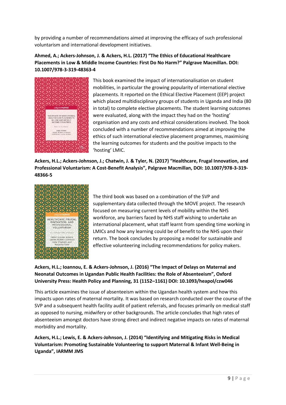by providing a number of recommendations aimed at improving the efficacy of such professional voluntarism and international development initiatives.

**Ahmed, A.; Ackers-Johnson, J. & Ackers, H.L. (2017) "The Ethics of Educational Healthcare Placements in Low & Middle Income Countries: First Do No Harm?" Palgrave Macmillan. DOI: 10.1007/978-3-319-48363-4**



This book examined the impact of internationalisation on student mobilities, in particular the growing popularity of international elective placements. It reported on the Ethical Elective Placement (EEP) project which placed multidisciplinary groups of students in Uganda and India (80 in total) to complete elective placements. The student learning outcomes were evaluated, along with the impact they had on the 'hosting' organisation and any costs and ethical considerations involved. The book concluded with a number of recommendations aimed at improving the ethics of such international elective placement programmes, maximising the learning outcomes for students and the positive impacts to the 'hosting' LMIC.

**Ackers, H.L.; Ackers-Johnson, J.; Chatwin, J. & Tyler, N. (2017) "Healthcare, Frugal Innovation, and Professional Voluntarism: A Cost-Benefit Analysis", Palgrave Macmillan, DOI: 10.1007/978-3-319- 48366-5**



The third book was based on a combination of the SVP and supplementary data collected through the MOVE project. The research focused on measuring current levels of mobility within the NHS workforce, any barriers faced by NHS staff wishing to undertake an international placement, what staff learnt from spending time working in LMICs and how any learning could be of benefit to the NHS upon their return. The book concludes by proposing a model for sustainable and effective volunteering including recommendations for policy makers.

**Ackers, H.L.; Ioannou, E. & Ackers-Johnson, J. (2016) "The Impact of Delays on Maternal and Neonatal Outcomes in Ugandan Public Health Facilities: the Role of Absenteeism", Oxford University Press: Health Policy and Planning, 31 (1152–1161) DOI: 10.1093/heapol/czw046**

This article examines the issue of absenteeism within the Ugandan health system and how this impacts upon rates of maternal mortality. It was based on research conducted over the course of the SVP and a subsequent health facility audit of patient referrals, and focuses primarily on medical staff as opposed to nursing, midwifery or other backgrounds. The article concludes that high rates of absenteeism amongst doctors have strong direct and indirect negative impacts on rates of maternal morbidity and mortality.

**Ackers, H.L.; Lewis, E. & Ackers-Johnson, J. (2014) "Identifying and Mitigating Risks in Medical Voluntarism: Promoting Sustainable Volunteering to support Maternal & Infant Well-Being in Uganda", IARMM JMS**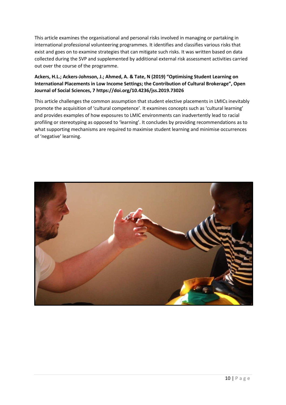This article examines the organisational and personal risks involved in managing or partaking in international professional volunteering programmes. It identifies and classifies various risks that exist and goes on to examine strategies that can mitigate such risks. It was written based on data collected during the SVP and supplemented by additional external risk assessment activities carried out over the course of the programme.

#### **Ackers, H.L.; Ackers-Johnson, J.; Ahmed, A. & Tate, N (2019) "Optimising Student Learning on International Placements in Low Income Settings; the Contribution of Cultural Brokerage", Open Journal of Social Sciences, 7 https://doi.org/10.4236/jss.2019.73026**

This article challenges the common assumption that student elective placements in LMICs inevitably promote the acquisition of 'cultural competence'. It examines concepts such as 'cultural learning' and provides examples of how exposures to LMIC environments can inadvertently lead to racial profiling or stereotyping as opposed to 'learning'. It concludes by providing recommendations as to what supporting mechanisms are required to maximise student learning and minimise occurrences of 'negative' learning.

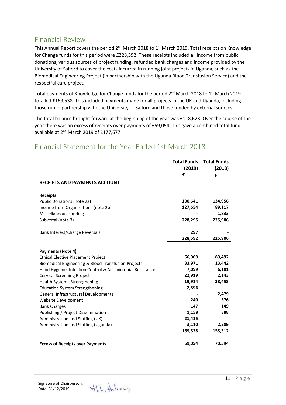### <span id="page-10-0"></span>Financial Review

This Annual Report covers the period 2<sup>nd</sup> March 2018 to 1<sup>st</sup> March 2019. Total receipts on Knowledge for Change funds for this period were £228,592. These receipts included all income from public donations, various sources of project funding, refunded bank charges and income provided by the University of Salford to cover the costs incurred in running joint projects in Uganda, such as the Biomedical Engineering Project (in partnership with the Uganda Blood Transfusion Service) and the respectful care project.

Total payments of Knowledge for Change funds for the period 2<sup>nd</sup> March 2018 to 1<sup>st</sup> March 2019 totalled £169,538. This included payments made for all projects in the UK and Uganda, including those run in partnership with the University of Salford and those funded by external sources.

The total balance brought forward at the beginning of the year was £118,623. Over the course of the year there was an excess of receipts over payments of £59,054. This gave a combined total fund available at 2<sup>nd</sup> March 2019 of £177,677.

### **Total Funds Total Funds (2019) (2018) £ £ RECEIPTS AND PAYMENTS ACCOUNT Receipts** Public Donations (note 2a) **100,641 134,956** Income from Organisations (note 2b) **127,654 89,117** Miscellaneous Funding **- 1,833** Sub-total (note 3) **228,295 225,906** Bank Interest/Charge Reversals **297 297 228,592 225,906 Payments (Note 4)** Ethical Elective Placement Project **56,969 89,492** Biomedical Engineering & Blood Transfusion Projects **33,971 13,442** Hand Hygiene, Infection Control & Antimicrobial Resistance **7,099 6,101** Cervical Screening Project **22,919 2,143** Health Systems Strengthening **19,914 38,453** Education System Strengthening **2,596 -** General Infrastructural Developments **- 2,479** Website Development **240 376** Bank Charges **147 149** Publishing / Project Dissemination **1,158 388** Administration and Staffing (UK) **21,415** Administration and Staffing (Uganda) **3,110 2,289 169,538 155,312 Excess of Receipts over Payments 59,054 70,594**

### <span id="page-10-1"></span>Financial Statement for the Year Ended 1st March 2018

Signature of Chairperson: Date: 31/12/2019

H.L. Holey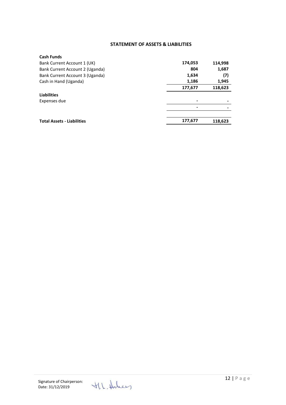#### **STATEMENT OF ASSETS & LIABILITIES**

<span id="page-11-0"></span>

| <b>Cash Funds</b>                 |         |         |
|-----------------------------------|---------|---------|
| Bank Current Account 1 (UK)       | 174,053 | 114,998 |
| Bank Current Account 2 (Uganda)   | 804     | 1,687   |
| Bank Current Account 3 (Uganda)   | 1,634   | (7)     |
| Cash in Hand (Uganda)             | 1,186   | 1,945   |
|                                   | 177,677 | 118,623 |
| <b>Liabilities</b>                |         |         |
| Expenses due                      | -       |         |
|                                   |         |         |
|                                   |         |         |
| <b>Total Assets - Liabilities</b> | 177,677 | 118,623 |
|                                   |         |         |

H.L. Heley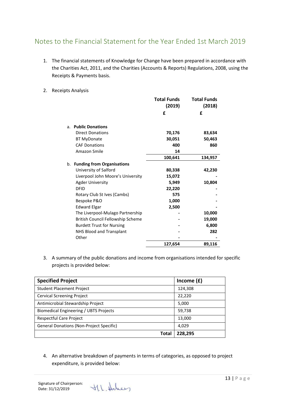# <span id="page-12-0"></span>Notes to the Financial Statement for the Year Ended 1st March 2019

- 1. The financial statements of Knowledge for Change have been prepared in accordance with the Charities Act, 2011, and the Charities (Accounts & Reports) Regulations, 2008, using the Receipts & Payments basis.
- 2. Receipts Analysis

|                |                                   | <b>Total Funds</b><br>(2019) | <b>Total Funds</b><br>(2018) |
|----------------|-----------------------------------|------------------------------|------------------------------|
|                |                                   | £                            | £                            |
| a <sub>z</sub> | <b>Public Donations</b>           |                              |                              |
|                | <b>Direct Donations</b>           | 70,176                       | 83,634                       |
|                | <b>BT MyDonate</b>                | 30,051                       | 50,463                       |
|                | <b>CAF Donations</b>              | 400                          | 860                          |
|                | Amazon Smile                      | 14                           |                              |
|                |                                   | 100,641                      | 134,957                      |
|                | b. Funding from Organisations     |                              |                              |
|                | University of Salford             | 80,338                       | 42,230                       |
|                | Liverpool John Moore's University | 15,072                       |                              |
|                | <b>Agder University</b>           | 5,949                        | 10,804                       |
|                | <b>DFID</b>                       | 22,220                       |                              |
|                | Rotary Club St Ives (Cambs)       | 575                          |                              |
|                | Bespoke P&O                       | 1,000                        |                              |
|                | <b>Edward Elgar</b>               | 2,500                        |                              |
|                | The Liverpool-Mulago Partnership  |                              | 10,000                       |
|                | British Council Fellowship Scheme |                              | 19,000                       |
|                | <b>Burdett Trust for Nursing</b>  |                              | 6,800                        |
|                | NHS Blood and Transplant          |                              | 282                          |
|                | Other                             |                              |                              |
|                |                                   | 127,654                      | 89,116                       |
|                |                                   |                              |                              |

3. A summary of the public donations and income from organisations intended for specific projects is provided below:

| <b>Specified Project</b>                        | Income $(f)$ |
|-------------------------------------------------|--------------|
| <b>Student Placement Project</b>                | 124,308      |
| <b>Cervical Screening Project</b>               | 22,220       |
| Antimicrobial Stewardship Project               | 5,000        |
| Biomedical Engineering / UBTS Projects          | 59,738       |
| Respectful Care Project                         | 13,000       |
| <b>General Donations (Non-Project Specific)</b> | 4,029        |
| Total                                           | 228.295      |

4. An alternative breakdown of payments in terms of categories, as opposed to project expenditure, is provided below:

H.L. Holey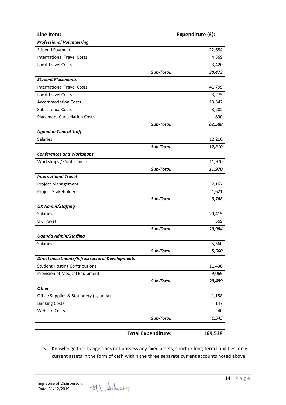| Line Item:                                      | Expenditure (£): |
|-------------------------------------------------|------------------|
| <b>Professional Volunteering</b>                |                  |
| <b>Stipend Payments</b>                         | 22,684           |
| <b>International Travel Costs</b>               | 4,369            |
| <b>Local Travel Costs</b>                       | 3,420            |
| Sub-Total:                                      | 30,473           |
| <b>Student Placements</b>                       |                  |
| <b>International Travel Costs</b>               | 41,799           |
| <b>Local Travel Costs</b>                       | 3,275            |
| <b>Accommodation Costs</b>                      | 13,342           |
| <b>Subsistence Costs</b>                        | 3,202            |
| <b>Placement Cancellation Costs</b>             | 890              |
| Sub-Total:                                      | 62,508           |
| <b>Ugandan Clinical Staff</b>                   |                  |
| Salaries                                        | 12,210           |
| Sub-Total:                                      | 12,210           |
| <b>Conferences and Workshops</b>                |                  |
| Workshops / Conferences                         | 11,970           |
| Sub-Total:                                      | 11,970           |
| <b>International Travel</b>                     |                  |
| Project Management                              | 2,167            |
| Project Stakeholders                            | 1,621            |
| Sub-Total:                                      | 3,788            |
| <b>UK Admin/Staffing</b>                        |                  |
| <b>Salaries</b>                                 | 20,415           |
| <b>UK Travel</b>                                | 569              |
| Sub-Total:                                      | 20,984           |
| <b>Uganda Admin/Staffing</b>                    |                  |
| Salaries                                        | 5,560            |
| Sub-Total:                                      | 5,560            |
| Direct Investments/Infrastructural Developments |                  |
| <b>Student Hosting Contributions</b>            | 11,430           |
| Provision of Medical Equipment                  | 9,069            |
| Sub-Total:                                      | 20,499           |
| <b>Other</b>                                    |                  |
| Office Supplies & Stationery (Uganda)           | 1,158            |
| <b>Banking Costs</b>                            | 147              |
| <b>Website Costs</b>                            | 240              |
| Sub-Total:                                      | 1,545            |
|                                                 |                  |
| <b>Total Expenditure:</b>                       | 169,538          |

5. Knowledge for Change does not possess any fixed assets, short or long-term liabilities; only current assets in the form of cash within the three separate current accounts noted above.